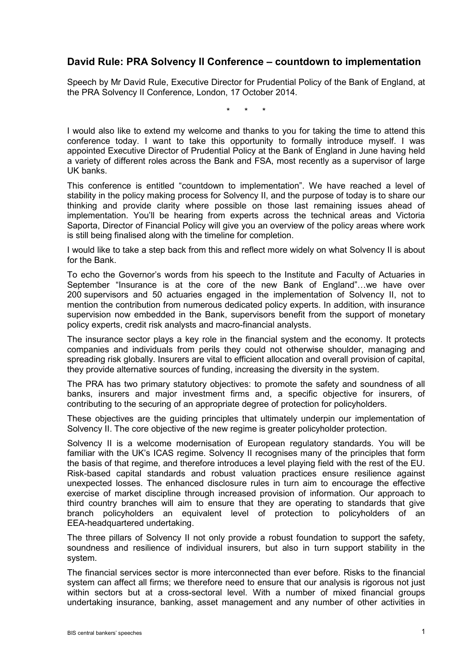## **David Rule: PRA Solvency II Conference – countdown to implementation**

Speech by Mr David Rule, Executive Director for Prudential Policy of the Bank of England, at the PRA Solvency II Conference, London, 17 October 2014.

\* \* \*

I would also like to extend my welcome and thanks to you for taking the time to attend this conference today. I want to take this opportunity to formally introduce myself. I was appointed Executive Director of Prudential Policy at the Bank of England in June having held a variety of different roles across the Bank and FSA, most recently as a supervisor of large UK banks.

This conference is entitled "countdown to implementation". We have reached a level of stability in the policy making process for Solvency II, and the purpose of today is to share our thinking and provide clarity where possible on those last remaining issues ahead of implementation. You'll be hearing from experts across the technical areas and Victoria Saporta, Director of Financial Policy will give you an overview of the policy areas where work is still being finalised along with the timeline for completion.

I would like to take a step back from this and reflect more widely on what Solvency II is about for the Bank.

To echo the Governor's words from his speech to the Institute and Faculty of Actuaries in September "Insurance is at the core of the new Bank of England"…we have over 200 supervisors and 50 actuaries engaged in the implementation of Solvency II, not to mention the contribution from numerous dedicated policy experts. In addition, with insurance supervision now embedded in the Bank, supervisors benefit from the support of monetary policy experts, credit risk analysts and macro-financial analysts.

The insurance sector plays a key role in the financial system and the economy. It protects companies and individuals from perils they could not otherwise shoulder, managing and spreading risk globally. Insurers are vital to efficient allocation and overall provision of capital, they provide alternative sources of funding, increasing the diversity in the system.

The PRA has two primary statutory objectives: to promote the safety and soundness of all banks, insurers and major investment firms and, a specific objective for insurers, of contributing to the securing of an appropriate degree of protection for policyholders.

These objectives are the guiding principles that ultimately underpin our implementation of Solvency II. The core objective of the new regime is greater policyholder protection.

Solvency II is a welcome modernisation of European regulatory standards. You will be familiar with the UK's ICAS regime. Solvency II recognises many of the principles that form the basis of that regime, and therefore introduces a level playing field with the rest of the EU. Risk-based capital standards and robust valuation practices ensure resilience against unexpected losses. The enhanced disclosure rules in turn aim to encourage the effective exercise of market discipline through increased provision of information. Our approach to third country branches will aim to ensure that they are operating to standards that give branch policyholders an equivalent level of protection to policyholders of an EEA-headquartered undertaking.

The three pillars of Solvency II not only provide a robust foundation to support the safety, soundness and resilience of individual insurers, but also in turn support stability in the system.

The financial services sector is more interconnected than ever before. Risks to the financial system can affect all firms; we therefore need to ensure that our analysis is rigorous not just within sectors but at a cross-sectoral level. With a number of mixed financial groups undertaking insurance, banking, asset management and any number of other activities in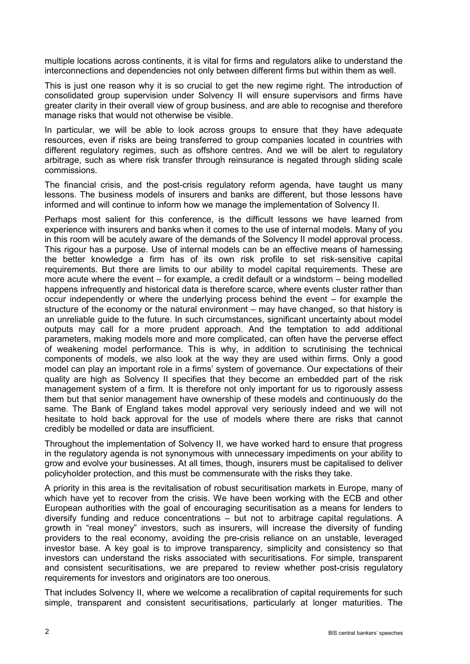multiple locations across continents, it is vital for firms and regulators alike to understand the interconnections and dependencies not only between different firms but within them as well.

This is just one reason why it is so crucial to get the new regime right. The introduction of consolidated group supervision under Solvency II will ensure supervisors and firms have greater clarity in their overall view of group business, and are able to recognise and therefore manage risks that would not otherwise be visible.

In particular, we will be able to look across groups to ensure that they have adequate resources, even if risks are being transferred to group companies located in countries with different regulatory regimes, such as offshore centres. And we will be alert to regulatory arbitrage, such as where risk transfer through reinsurance is negated through sliding scale commissions.

The financial crisis, and the post-crisis regulatory reform agenda, have taught us many lessons. The business models of insurers and banks are different, but those lessons have informed and will continue to inform how we manage the implementation of Solvency II.

Perhaps most salient for this conference, is the difficult lessons we have learned from experience with insurers and banks when it comes to the use of internal models. Many of you in this room will be acutely aware of the demands of the Solvency II model approval process. This rigour has a purpose. Use of internal models can be an effective means of harnessing the better knowledge a firm has of its own risk profile to set risk-sensitive capital requirements. But there are limits to our ability to model capital requirements. These are more acute where the event – for example, a credit default or a windstorm – being modelled happens infrequently and historical data is therefore scarce, where events cluster rather than occur independently or where the underlying process behind the event – for example the structure of the economy or the natural environment – may have changed, so that history is an unreliable guide to the future. In such circumstances, significant uncertainty about model outputs may call for a more prudent approach. And the temptation to add additional parameters, making models more and more complicated, can often have the perverse effect of weakening model performance. This is why, in addition to scrutinising the technical components of models, we also look at the way they are used within firms. Only a good model can play an important role in a firms' system of governance. Our expectations of their quality are high as Solvency II specifies that they become an embedded part of the risk management system of a firm. It is therefore not only important for us to rigorously assess them but that senior management have ownership of these models and continuously do the same. The Bank of England takes model approval very seriously indeed and we will not hesitate to hold back approval for the use of models where there are risks that cannot credibly be modelled or data are insufficient.

Throughout the implementation of Solvency II, we have worked hard to ensure that progress in the regulatory agenda is not synonymous with unnecessary impediments on your ability to grow and evolve your businesses. At all times, though, insurers must be capitalised to deliver policyholder protection, and this must be commensurate with the risks they take.

A priority in this area is the revitalisation of robust securitisation markets in Europe, many of which have yet to recover from the crisis. We have been working with the ECB and other European authorities with the goal of encouraging securitisation as a means for lenders to diversify funding and reduce concentrations – but not to arbitrage capital regulations. A growth in "real money" investors, such as insurers, will increase the diversity of funding providers to the real economy, avoiding the pre-crisis reliance on an unstable, leveraged investor base. A key goal is to improve transparency, simplicity and consistency so that investors can understand the risks associated with securitisations. For simple, transparent and consistent securitisations, we are prepared to review whether post-crisis regulatory requirements for investors and originators are too onerous.

That includes Solvency II, where we welcome a recalibration of capital requirements for such simple, transparent and consistent securitisations, particularly at longer maturities. The